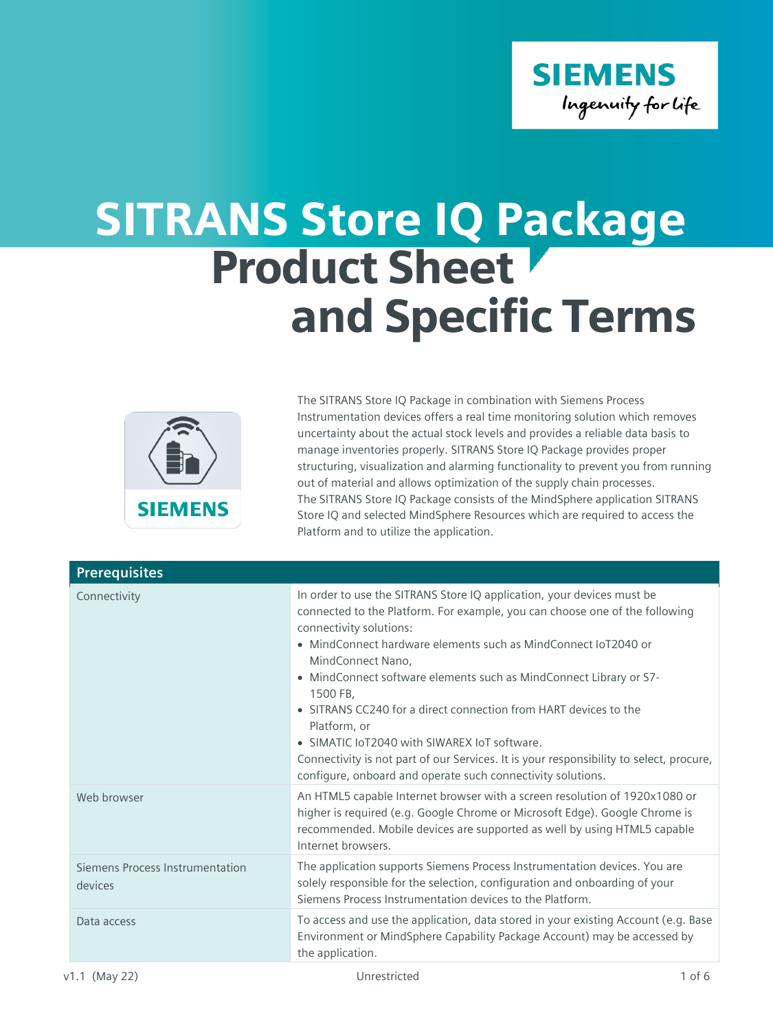

## SITRANS Store IQ Package **Product Sheet** and Specific Terms



The SITRANS Store IQ Package in combination with Siemens Process Instrumentation devices offers a real time monitoring solution which removes uncertainty about the actual stock levels and provides a reliable data basis to manage inventories properly. SITRANS Store IQ Package provides proper structuring, visualization and alarming functionality to prevent you from running out of material and allows optimization of the supply chain processes. The SITRANS Store IQ Package consists of the MindSphere application SITRANS Store IQ and selected MindSphere Resources which are required to access the Platform and to utilize the application.

| <b>Prerequisites</b>                       |                                                                                                                                                                                                                                                                                                                                                                                                                                                                                                                                                                                                                                                         |
|--------------------------------------------|---------------------------------------------------------------------------------------------------------------------------------------------------------------------------------------------------------------------------------------------------------------------------------------------------------------------------------------------------------------------------------------------------------------------------------------------------------------------------------------------------------------------------------------------------------------------------------------------------------------------------------------------------------|
| Connectivity                               | In order to use the SITRANS Store IQ application, your devices must be<br>connected to the Platform. For example, you can choose one of the following<br>connectivity solutions:<br>• MindConnect hardware elements such as MindConnect IoT2040 or<br>MindConnect Nano,<br>• MindConnect software elements such as MindConnect Library or S7-<br>1500 FB.<br>• SITRANS CC240 for a direct connection from HART devices to the<br>Platform, or<br>• SIMATIC IoT2040 with SIWAREX IoT software.<br>Connectivity is not part of our Services. It is your responsibility to select, procure,<br>configure, onboard and operate such connectivity solutions. |
| Web browser                                | An HTML5 capable Internet browser with a screen resolution of 1920x1080 or<br>higher is required (e.g. Google Chrome or Microsoft Edge). Google Chrome is<br>recommended. Mobile devices are supported as well by using HTML5 capable<br>Internet browsers.                                                                                                                                                                                                                                                                                                                                                                                             |
| Siemens Process Instrumentation<br>devices | The application supports Siemens Process Instrumentation devices. You are<br>solely responsible for the selection, configuration and onboarding of your<br>Siemens Process Instrumentation devices to the Platform.                                                                                                                                                                                                                                                                                                                                                                                                                                     |
| Data access                                | To access and use the application, data stored in your existing Account (e.g. Base<br>Environment or MindSphere Capability Package Account) may be accessed by<br>the application.                                                                                                                                                                                                                                                                                                                                                                                                                                                                      |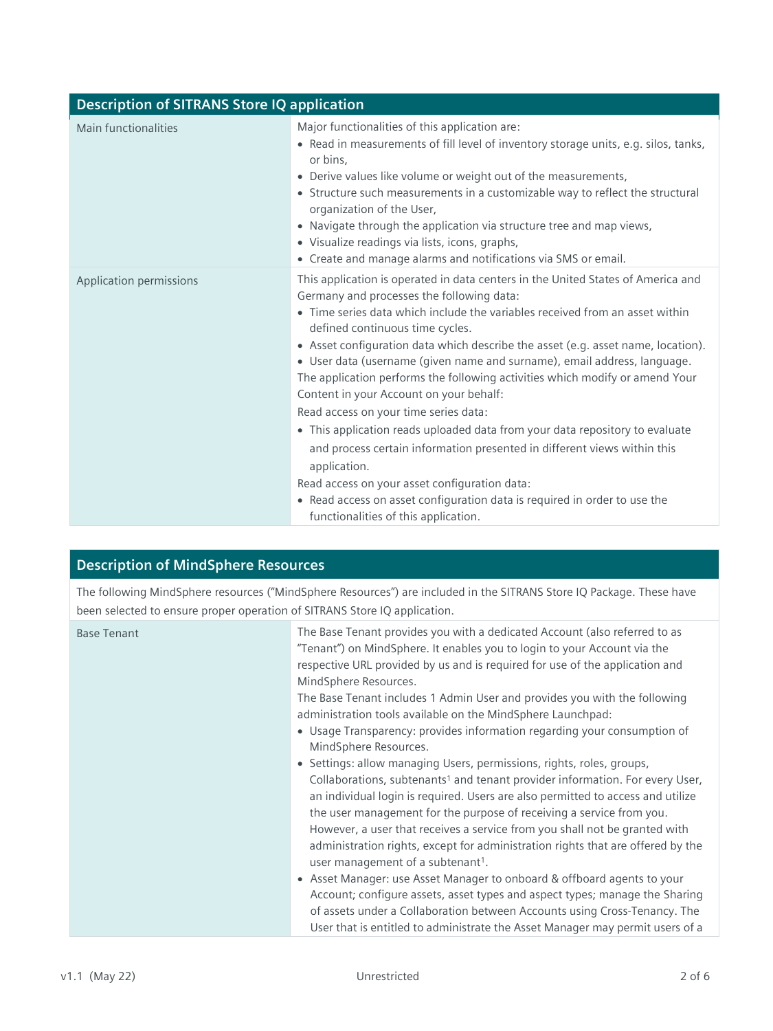| <b>Description of SITRANS Store IQ application</b> |                                                                                                                                                                                                                                                                                                                                                                                                                                                                                                                                                                                                                                                                                                                                                                                                                                                                                                                                        |  |
|----------------------------------------------------|----------------------------------------------------------------------------------------------------------------------------------------------------------------------------------------------------------------------------------------------------------------------------------------------------------------------------------------------------------------------------------------------------------------------------------------------------------------------------------------------------------------------------------------------------------------------------------------------------------------------------------------------------------------------------------------------------------------------------------------------------------------------------------------------------------------------------------------------------------------------------------------------------------------------------------------|--|
| Main functionalities                               | Major functionalities of this application are:<br>• Read in measurements of fill level of inventory storage units, e.g. silos, tanks,<br>or bins.<br>• Derive values like volume or weight out of the measurements,<br>• Structure such measurements in a customizable way to reflect the structural<br>organization of the User,<br>• Navigate through the application via structure tree and map views,<br>· Visualize readings via lists, icons, graphs,<br>• Create and manage alarms and notifications via SMS or email.                                                                                                                                                                                                                                                                                                                                                                                                          |  |
| Application permissions                            | This application is operated in data centers in the United States of America and<br>Germany and processes the following data:<br>• Time series data which include the variables received from an asset within<br>defined continuous time cycles.<br>• Asset configuration data which describe the asset (e.g. asset name, location).<br>• User data (username (given name and surname), email address, language.<br>The application performs the following activities which modify or amend Your<br>Content in your Account on your behalf:<br>Read access on your time series data:<br>• This application reads uploaded data from your data repository to evaluate<br>and process certain information presented in different views within this<br>application.<br>Read access on your asset configuration data:<br>• Read access on asset configuration data is required in order to use the<br>functionalities of this application. |  |

## **Description of MindSphere Resources**

The following MindSphere resources ("MindSphere Resources") are included in the SITRANS Store IQ Package. These have been selected to ensure proper operation of SITRANS Store IQ application.

| <b>Base Tenant</b> | The Base Tenant provides you with a dedicated Account (also referred to as<br>"Tenant") on MindSphere. It enables you to login to your Account via the<br>respective URL provided by us and is required for use of the application and<br>MindSphere Resources.<br>The Base Tenant includes 1 Admin User and provides you with the following<br>administration tools available on the MindSphere Launchpad:<br>• Usage Transparency: provides information regarding your consumption of<br>MindSphere Resources.<br>• Settings: allow managing Users, permissions, rights, roles, groups,<br>Collaborations, subtenants <sup>1</sup> and tenant provider information. For every User,<br>an individual login is required. Users are also permitted to access and utilize<br>the user management for the purpose of receiving a service from you.<br>However, a user that receives a service from you shall not be granted with<br>administration rights, except for administration rights that are offered by the |
|--------------------|-------------------------------------------------------------------------------------------------------------------------------------------------------------------------------------------------------------------------------------------------------------------------------------------------------------------------------------------------------------------------------------------------------------------------------------------------------------------------------------------------------------------------------------------------------------------------------------------------------------------------------------------------------------------------------------------------------------------------------------------------------------------------------------------------------------------------------------------------------------------------------------------------------------------------------------------------------------------------------------------------------------------|
|                    | user management of a subtenant <sup>1</sup> .<br>• Asset Manager: use Asset Manager to onboard & offboard agents to your                                                                                                                                                                                                                                                                                                                                                                                                                                                                                                                                                                                                                                                                                                                                                                                                                                                                                          |
|                    | Account; configure assets, asset types and aspect types; manage the Sharing<br>of assets under a Collaboration between Accounts using Cross-Tenancy. The<br>User that is entitled to administrate the Asset Manager may permit users of a                                                                                                                                                                                                                                                                                                                                                                                                                                                                                                                                                                                                                                                                                                                                                                         |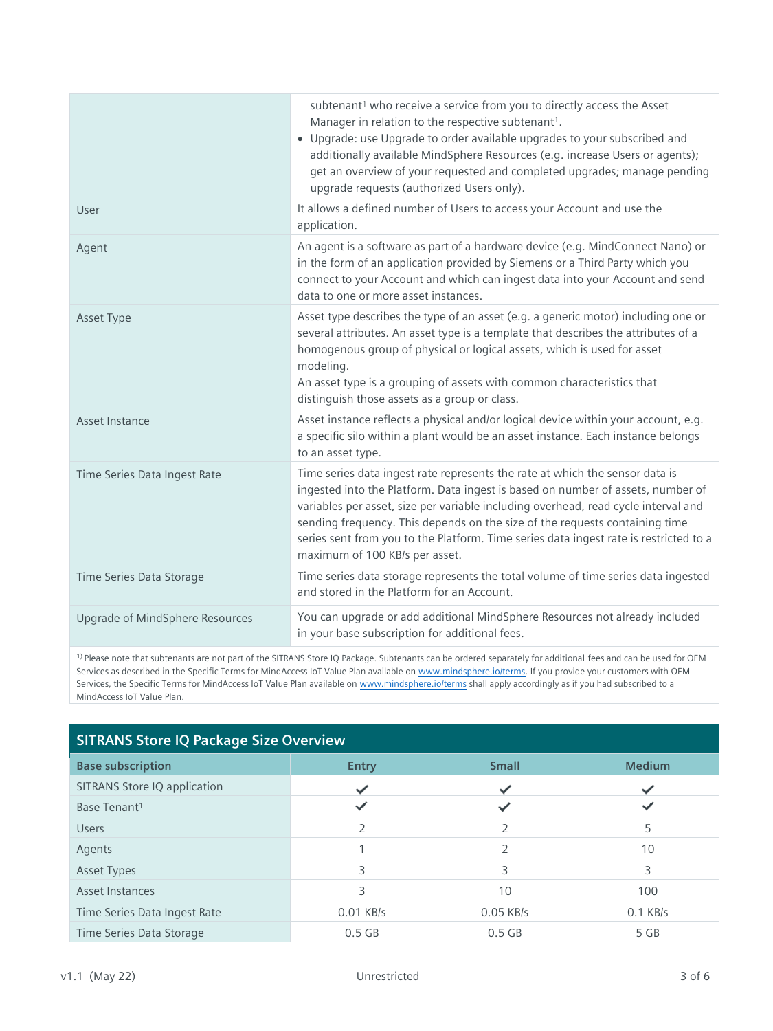|                                 | subtenant <sup>1</sup> who receive a service from you to directly access the Asset<br>Manager in relation to the respective subtenant <sup>1</sup> .<br>• Upgrade: use Upgrade to order available upgrades to your subscribed and<br>additionally available MindSphere Resources (e.g. increase Users or agents);<br>get an overview of your requested and completed upgrades; manage pending<br>upgrade requests (authorized Users only).                      |
|---------------------------------|-----------------------------------------------------------------------------------------------------------------------------------------------------------------------------------------------------------------------------------------------------------------------------------------------------------------------------------------------------------------------------------------------------------------------------------------------------------------|
| User                            | It allows a defined number of Users to access your Account and use the<br>application.                                                                                                                                                                                                                                                                                                                                                                          |
| Agent                           | An agent is a software as part of a hardware device (e.g. MindConnect Nano) or<br>in the form of an application provided by Siemens or a Third Party which you<br>connect to your Account and which can ingest data into your Account and send<br>data to one or more asset instances.                                                                                                                                                                          |
| Asset Type                      | Asset type describes the type of an asset (e.g. a generic motor) including one or<br>several attributes. An asset type is a template that describes the attributes of a<br>homogenous group of physical or logical assets, which is used for asset<br>modeling.<br>An asset type is a grouping of assets with common characteristics that<br>distinguish those assets as a group or class.                                                                      |
| Asset Instance                  | Asset instance reflects a physical and/or logical device within your account, e.g.<br>a specific silo within a plant would be an asset instance. Each instance belongs<br>to an asset type.                                                                                                                                                                                                                                                                     |
| Time Series Data Ingest Rate    | Time series data ingest rate represents the rate at which the sensor data is<br>ingested into the Platform. Data ingest is based on number of assets, number of<br>variables per asset, size per variable including overhead, read cycle interval and<br>sending frequency. This depends on the size of the requests containing time<br>series sent from you to the Platform. Time series data ingest rate is restricted to a<br>maximum of 100 KB/s per asset. |
| Time Series Data Storage        | Time series data storage represents the total volume of time series data ingested<br>and stored in the Platform for an Account.                                                                                                                                                                                                                                                                                                                                 |
| Upgrade of MindSphere Resources | You can upgrade or add additional MindSphere Resources not already included<br>in your base subscription for additional fees.                                                                                                                                                                                                                                                                                                                                   |

<sup>1)</sup> Please note that subtenants are not part of the SITRANS Store IQ Package. Subtenants can be ordered separately for additional fees and can be used for OEM Services as described in the Specific Terms for MindAccess IoT Value Plan available o[n www.mindsphere.io/terms.](http://www.mindsphere.io/terms) If you provide your customers with OEM Services, the Specific Terms for MindAccess IoT Value Plan available o[n www.mindsphere.io/terms](http://www.mindsphere.io/terms) shall apply accordingly as if you had subscribed to a MindAccess IoT Value Plan.

| <b>SITRANS Store IQ Package Size Overview</b> |               |              |               |
|-----------------------------------------------|---------------|--------------|---------------|
| <b>Base subscription</b>                      | <b>Entry</b>  | <b>Small</b> | <b>Medium</b> |
| SITRANS Store IQ application                  |               |              |               |
| Base Tenant <sup>1</sup>                      |               |              |               |
| <b>Users</b>                                  | $\mathcal{P}$ | 2            | 5             |
| Agents                                        |               |              | 10            |
| <b>Asset Types</b>                            | 3             | 3            | 3             |
| Asset Instances                               | 3             | 10           | 100           |
| Time Series Data Ingest Rate                  | 0.01 KB/s     | 0.05 KB/s    | $0.1$ KB/s    |
| Time Series Data Storage                      | $0.5$ GB      | $0.5$ GB     | 5 GB          |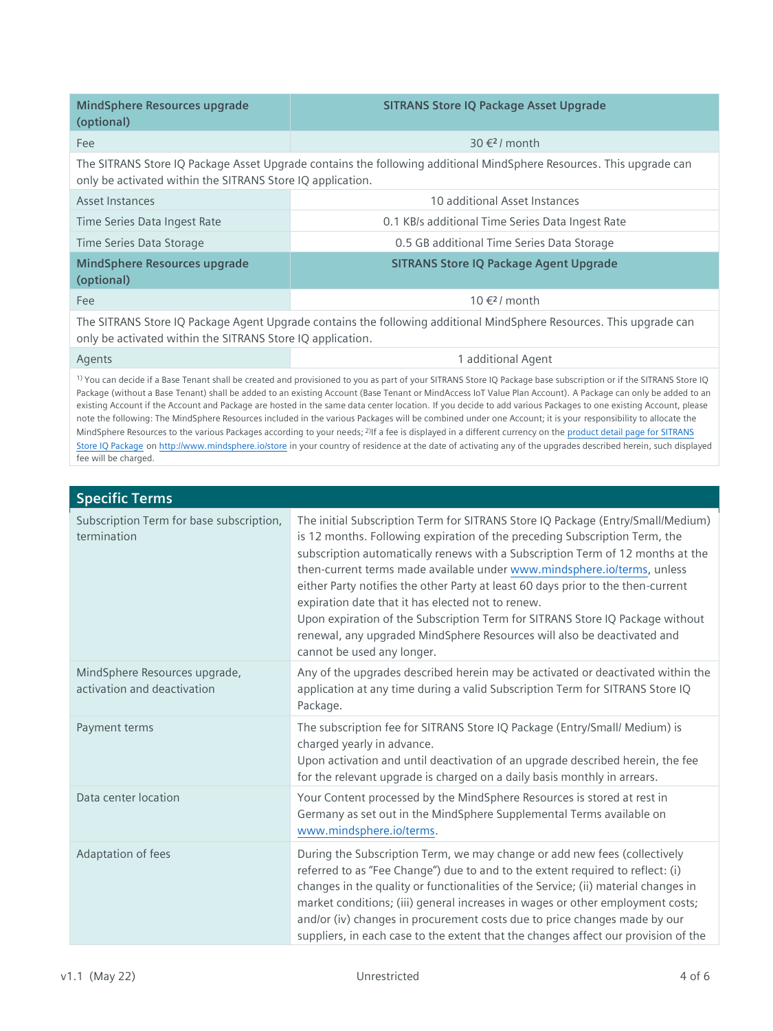| MindSphere Resources upgrade<br>(optional)                                                                                                                                                                                                                                                                                                                                                                                                                                                                                                                                                                                                                                  | <b>SITRANS Store IQ Package Asset Upgrade</b>    |  |
|-----------------------------------------------------------------------------------------------------------------------------------------------------------------------------------------------------------------------------------------------------------------------------------------------------------------------------------------------------------------------------------------------------------------------------------------------------------------------------------------------------------------------------------------------------------------------------------------------------------------------------------------------------------------------------|--------------------------------------------------|--|
| Fee                                                                                                                                                                                                                                                                                                                                                                                                                                                                                                                                                                                                                                                                         | $30 \text{€}$ ?/ month                           |  |
| The SITRANS Store IQ Package Asset Upgrade contains the following additional MindSphere Resources. This upgrade can<br>only be activated within the SITRANS Store IQ application.                                                                                                                                                                                                                                                                                                                                                                                                                                                                                           |                                                  |  |
| Asset Instances                                                                                                                                                                                                                                                                                                                                                                                                                                                                                                                                                                                                                                                             | 10 additional Asset Instances                    |  |
| Time Series Data Ingest Rate                                                                                                                                                                                                                                                                                                                                                                                                                                                                                                                                                                                                                                                | 0.1 KB/s additional Time Series Data Ingest Rate |  |
| Time Series Data Storage                                                                                                                                                                                                                                                                                                                                                                                                                                                                                                                                                                                                                                                    | 0.5 GB additional Time Series Data Storage       |  |
| <b>MindSphere Resources upgrade</b><br>(optional)                                                                                                                                                                                                                                                                                                                                                                                                                                                                                                                                                                                                                           | <b>SITRANS Store IQ Package Agent Upgrade</b>    |  |
| Fee                                                                                                                                                                                                                                                                                                                                                                                                                                                                                                                                                                                                                                                                         | $10 \leq 2$ / month                              |  |
| The SITRANS Store IQ Package Agent Upgrade contains the following additional MindSphere Resources. This upgrade can<br>only be activated within the SITRANS Store IQ application.                                                                                                                                                                                                                                                                                                                                                                                                                                                                                           |                                                  |  |
| Agents                                                                                                                                                                                                                                                                                                                                                                                                                                                                                                                                                                                                                                                                      | 1 additional Agent                               |  |
| <sup>1)</sup> You can decide if a Base Tenant shall be created and provisioned to you as part of your SITRANS Store IQ Package base subscription or if the SITRANS Store IQ<br>Package (without a Base Tenant) shall be added to an existing Account (Base Tenant or MindAccess IoT Value Plan Account). A Package can only be added to an<br>existing Account if the Account and Package are hosted in the same data center location. If you decide to add various Packages to one existing Account, please<br>note the following: The MindSphere Resources included in the various Packages will be combined under one Account; it is your responsibility to allocate the |                                                  |  |

MindSphere Resources to the various Packages according to your needs; <sup>2)</sup>If a fee is displayed in a different currency on the product detail page for SITRANS [Store IQ Package](https://www.dex.siemens.com/mindsphere/applications/SITRANS-Store-IQ-Entry-Package) o[n http://www.mindsphere.io/store](http://www.mindsphere.io/store) in your country of residence at the date of activating any of the upgrades described herein, such displayed fee will be charged.

| <b>Specific Terms</b>                                        |                                                                                                                                                                                                                                                                                                                                                                                                                                                                                                                                                                                                                                                               |  |
|--------------------------------------------------------------|---------------------------------------------------------------------------------------------------------------------------------------------------------------------------------------------------------------------------------------------------------------------------------------------------------------------------------------------------------------------------------------------------------------------------------------------------------------------------------------------------------------------------------------------------------------------------------------------------------------------------------------------------------------|--|
| Subscription Term for base subscription,<br>termination      | The initial Subscription Term for SITRANS Store IQ Package (Entry/Small/Medium)<br>is 12 months. Following expiration of the preceding Subscription Term, the<br>subscription automatically renews with a Subscription Term of 12 months at the<br>then-current terms made available under www.mindsphere.io/terms, unless<br>either Party notifies the other Party at least 60 days prior to the then-current<br>expiration date that it has elected not to renew.<br>Upon expiration of the Subscription Term for SITRANS Store IQ Package without<br>renewal, any upgraded MindSphere Resources will also be deactivated and<br>cannot be used any longer. |  |
| MindSphere Resources upgrade,<br>activation and deactivation | Any of the upgrades described herein may be activated or deactivated within the<br>application at any time during a valid Subscription Term for SITRANS Store IQ<br>Package.                                                                                                                                                                                                                                                                                                                                                                                                                                                                                  |  |
| Payment terms                                                | The subscription fee for SITRANS Store IQ Package (Entry/Small/ Medium) is<br>charged yearly in advance.<br>Upon activation and until deactivation of an upgrade described herein, the fee<br>for the relevant upgrade is charged on a daily basis monthly in arrears.                                                                                                                                                                                                                                                                                                                                                                                        |  |
| Data center location                                         | Your Content processed by the MindSphere Resources is stored at rest in<br>Germany as set out in the MindSphere Supplemental Terms available on<br>www.mindsphere.io/terms.                                                                                                                                                                                                                                                                                                                                                                                                                                                                                   |  |
| Adaptation of fees                                           | During the Subscription Term, we may change or add new fees (collectively<br>referred to as "Fee Change") due to and to the extent required to reflect: (i)<br>changes in the quality or functionalities of the Service; (ii) material changes in<br>market conditions; (iii) general increases in wages or other employment costs;<br>and/or (iv) changes in procurement costs due to price changes made by our<br>suppliers, in each case to the extent that the changes affect our provision of the                                                                                                                                                        |  |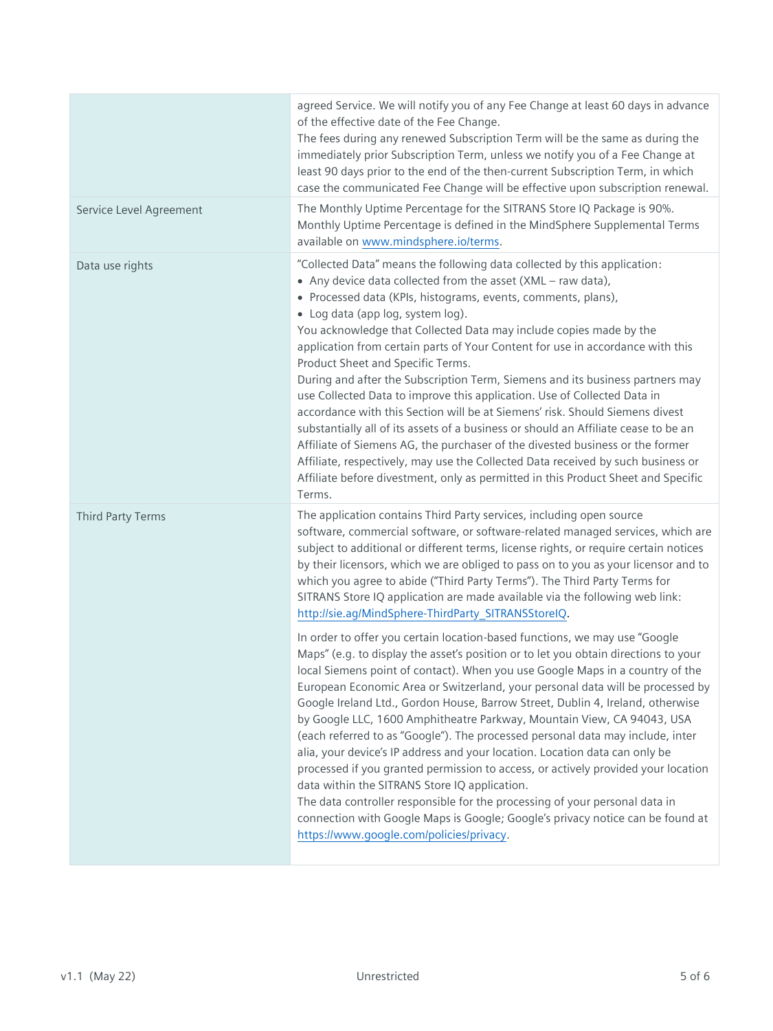|                         | agreed Service. We will notify you of any Fee Change at least 60 days in advance<br>of the effective date of the Fee Change.<br>The fees during any renewed Subscription Term will be the same as during the<br>immediately prior Subscription Term, unless we notify you of a Fee Change at<br>least 90 days prior to the end of the then-current Subscription Term, in which<br>case the communicated Fee Change will be effective upon subscription renewal.                                                                                                                                                                                                                                                                                                                                                                                                                                                                                                                                                                                     |
|-------------------------|-----------------------------------------------------------------------------------------------------------------------------------------------------------------------------------------------------------------------------------------------------------------------------------------------------------------------------------------------------------------------------------------------------------------------------------------------------------------------------------------------------------------------------------------------------------------------------------------------------------------------------------------------------------------------------------------------------------------------------------------------------------------------------------------------------------------------------------------------------------------------------------------------------------------------------------------------------------------------------------------------------------------------------------------------------|
| Service Level Agreement | The Monthly Uptime Percentage for the SITRANS Store IQ Package is 90%.<br>Monthly Uptime Percentage is defined in the MindSphere Supplemental Terms<br>available on www.mindsphere.io/terms.                                                                                                                                                                                                                                                                                                                                                                                                                                                                                                                                                                                                                                                                                                                                                                                                                                                        |
| Data use rights         | "Collected Data" means the following data collected by this application:<br>• Any device data collected from the asset (XML - raw data),<br>• Processed data (KPIs, histograms, events, comments, plans),<br>· Log data (app log, system log).<br>You acknowledge that Collected Data may include copies made by the<br>application from certain parts of Your Content for use in accordance with this<br>Product Sheet and Specific Terms.<br>During and after the Subscription Term, Siemens and its business partners may<br>use Collected Data to improve this application. Use of Collected Data in<br>accordance with this Section will be at Siemens' risk. Should Siemens divest<br>substantially all of its assets of a business or should an Affiliate cease to be an<br>Affiliate of Siemens AG, the purchaser of the divested business or the former<br>Affiliate, respectively, may use the Collected Data received by such business or<br>Affiliate before divestment, only as permitted in this Product Sheet and Specific<br>Terms. |
| Third Party Terms       | The application contains Third Party services, including open source<br>software, commercial software, or software-related managed services, which are<br>subject to additional or different terms, license rights, or require certain notices<br>by their licensors, which we are obliged to pass on to you as your licensor and to<br>which you agree to abide ("Third Party Terms"). The Third Party Terms for<br>SITRANS Store IQ application are made available via the following web link:<br>http://sie.ag/MindSphere-ThirdParty_SITRANSStoreIQ.                                                                                                                                                                                                                                                                                                                                                                                                                                                                                             |
|                         | In order to offer you certain location-based functions, we may use "Google<br>Maps" (e.g. to display the asset's position or to let you obtain directions to your<br>local Siemens point of contact). When you use Google Maps in a country of the<br>European Economic Area or Switzerland, your personal data will be processed by<br>Google Ireland Ltd., Gordon House, Barrow Street, Dublin 4, Ireland, otherwise<br>by Google LLC, 1600 Amphitheatre Parkway, Mountain View, CA 94043, USA<br>(each referred to as "Google"). The processed personal data may include, inter<br>alia, your device's IP address and your location. Location data can only be<br>processed if you granted permission to access, or actively provided your location<br>data within the SITRANS Store IQ application.<br>The data controller responsible for the processing of your personal data in<br>connection with Google Maps is Google; Google's privacy notice can be found at<br>https://www.google.com/policies/privacy.                                |